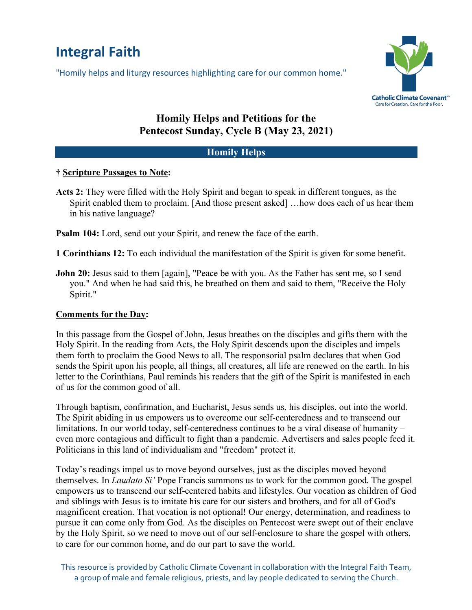# **Integral Faith**

"Homily helps and liturgy resources highlighting care for our common home."



## **Homily Helps and Petitions for the Pentecost Sunday, Cycle B (May 23, 2021)**

## **Homily Helps**

## **† Scripture Passages to Note:**

**Acts 2:** They were filled with the Holy Spirit and began to speak in different tongues, as the Spirit enabled them to proclaim. [And those present asked] …how does each of us hear them in his native language?

**Psalm 104:** Lord, send out your Spirit, and renew the face of the earth.

**1 Corinthians 12:** To each individual the manifestation of the Spirit is given for some benefit.

**John 20:** Jesus said to them [again], "Peace be with you. As the Father has sent me, so I send you." And when he had said this, he breathed on them and said to them, "Receive the Holy Spirit."

## **Comments for the Day:**

In this passage from the Gospel of John, Jesus breathes on the disciples and gifts them with the Holy Spirit. In the reading from Acts, the Holy Spirit descends upon the disciples and impels them forth to proclaim the Good News to all. The responsorial psalm declares that when God sends the Spirit upon his people, all things, all creatures, all life are renewed on the earth. In his letter to the Corinthians, Paul reminds his readers that the gift of the Spirit is manifested in each of us for the common good of all.

Through baptism, confirmation, and Eucharist, Jesus sends us, his disciples, out into the world. The Spirit abiding in us empowers us to overcome our self-centeredness and to transcend our limitations. In our world today, self-centeredness continues to be a viral disease of humanity – even more contagious and difficult to fight than a pandemic. Advertisers and sales people feed it. Politicians in this land of individualism and "freedom" protect it.

Today's readings impel us to move beyond ourselves, just as the disciples moved beyond themselves. In *Laudato Si'* Pope Francis summons us to work for the common good. The gospel empowers us to transcend our self-centered habits and lifestyles. Our vocation as children of God and siblings with Jesus is to imitate his care for our sisters and brothers, and for all of God's magnificent creation. That vocation is not optional! Our energy, determination, and readiness to pursue it can come only from God. As the disciples on Pentecost were swept out of their enclave by the Holy Spirit, so we need to move out of our self-enclosure to share the gospel with others, to care for our common home, and do our part to save the world.

This resource is provided by Catholic Climate Covenant in collaboration with the Integral Faith Team, a group of male and female religious, priests, and lay people dedicated to serving the Church.